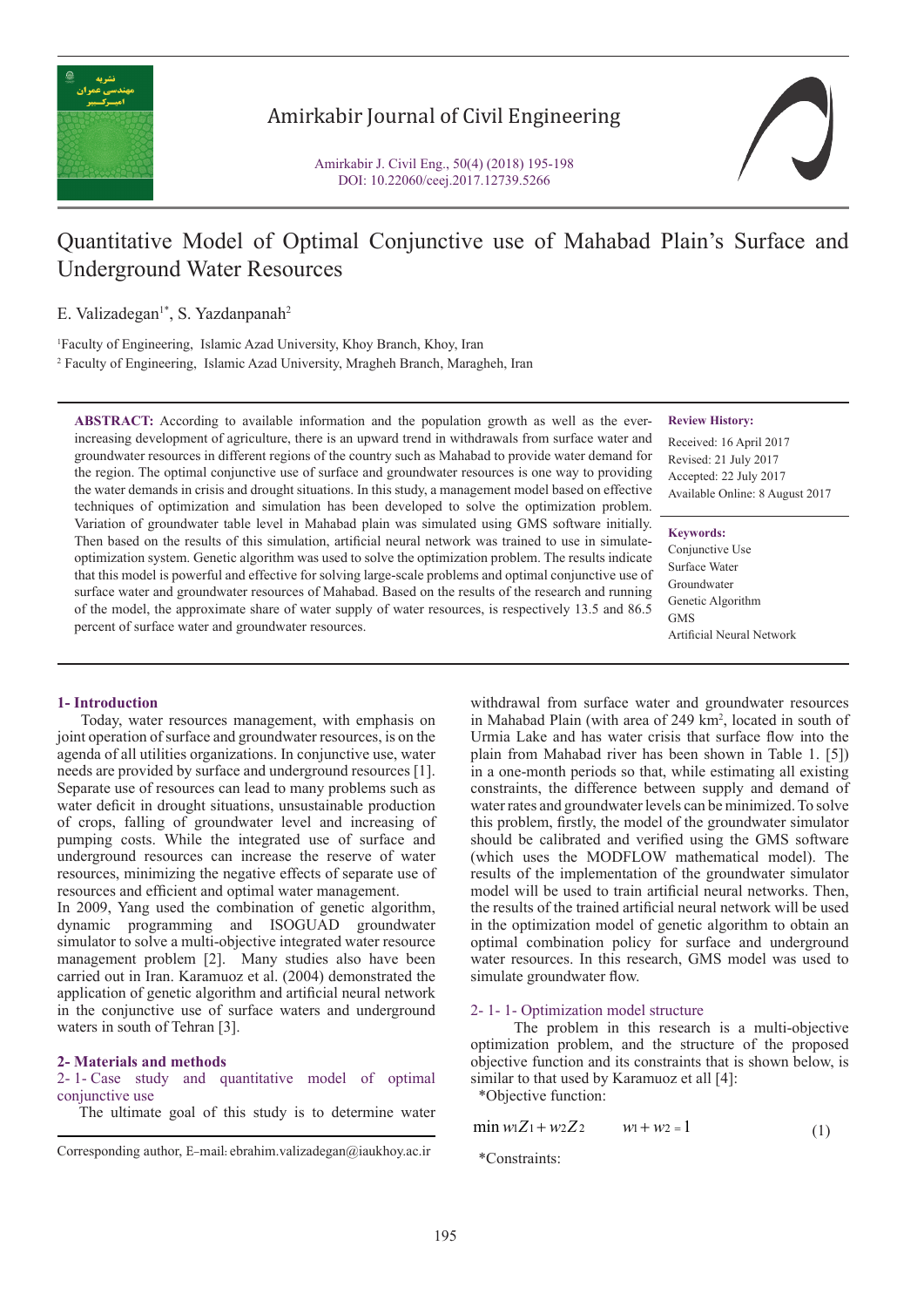

# Amirkabir Journal of Civil Engineering

Amirkabir J. Civil Eng., 50(4) (2018) 195-198 DOI: 10.22060/ceej.2017.12739.5266



# Quantitative Model of Optimal Conjunctive use of Mahabad Plain's Surface and Underground Water Resources

E. Valizadegan<sup>1\*</sup>, S. Yazdanpanah<sup>2</sup>

1 Faculty of Engineering, Islamic Azad University, Khoy Branch, Khoy, Iran 2 Faculty of Engineering, Islamic Azad University, Mragheh Branch, Maragheh, Iran

**ABSTRACT:** According to available information and the population growth as well as the everincreasing development of agriculture, there is an upward trend in withdrawals from surface water and groundwater resources in different regions of the country such as Mahabad to provide water demand for the region. The optimal conjunctive use of surface and groundwater resources is one way to providing the water demands in crisis and drought situations. In this study, a management model based on effective techniques of optimization and simulation has been developed to solve the optimization problem. Variation of groundwater table level in Mahabad plain was simulated using GMS software initially. Then based on the results of this simulation, artificial neural network was trained to use in simulateoptimization system. Genetic algorithm was used to solve the optimization problem. The results indicate that this model is powerful and effective for solving large-scale problems and optimal conjunctive use of surface water and groundwater resources of Mahabad. Based on the results of the research and running of the model, the approximate share of water supply of water resources, is respectively 13.5 and 86.5 percent of surface water and groundwater resources.

#### **Review History:**

Received: 16 April 2017 Revised: 21 July 2017 Accepted: 22 July 2017 Available Online: 8 August 2017

#### **Keywords:**

Conjunctive Use Surface Water Groundwater Genetic Algorithm **GMS** Artificial Neural Network

#### **1- Introduction**

 Today, water resources management, with emphasis on joint operation of surface and groundwater resources, is on the agenda of all utilities organizations. In conjunctive use, water needs are provided by surface and underground resources [1]. Separate use of resources can lead to many problems such as water deficit in drought situations, unsustainable production of crops, falling of groundwater level and increasing of pumping costs. While the integrated use of surface and underground resources can increase the reserve of water resources, minimizing the negative effects of separate use of resources and efficient and optimal water management.

In 2009, Yang used the combination of genetic algorithm, dynamic programming and ISOGUAD groundwater simulator to solve a multi-objective integrated water resource management problem [2]. Many studies also have been carried out in Iran. Karamuoz et al. (2004) demonstrated the application of genetic algorithm and artificial neural network in the conjunctive use of surface waters and underground waters in south of Tehran [3].

#### **2- Materials and methods**

2- 1- Case study and quantitative model of optimal conjunctive use

The ultimate goal of this study is to determine water

withdrawal from surface water and groundwater resources in Mahabad Plain (with area of 249 km<sup>2</sup>, located in south of Urmia Lake and has water crisis that surface flow into the plain from Mahabad river has been shown in Table 1. [5]) in a one-month periods so that, while estimating all existing constraints, the difference between supply and demand of water rates and groundwater levels can be minimized. To solve this problem, firstly, the model of the groundwater simulator should be calibrated and verified using the GMS software (which uses the MODFLOW mathematical model). The results of the implementation of the groundwater simulator model will be used to train artificial neural networks. Then, the results of the trained artificial neural network will be used in the optimization model of genetic algorithm to obtain an optimal combination policy for surface and underground water resources. In this research, GMS model was used to simulate groundwater flow.

## 2- 1- 1- Optimization model structure

 The problem in this research is a multi-objective optimization problem, and the structure of the proposed objective function and its constraints that is shown below, is similar to that used by Karamuoz et all [4]:

\*Objective function:

$$
\min w_1 Z_1 + w_2 Z_2 \qquad w_1 + w_2 = 1 \tag{1}
$$

\*Constraints:

Corresponding author, E-mail: ebrahim.valizadegan@iaukhoy.ac.ir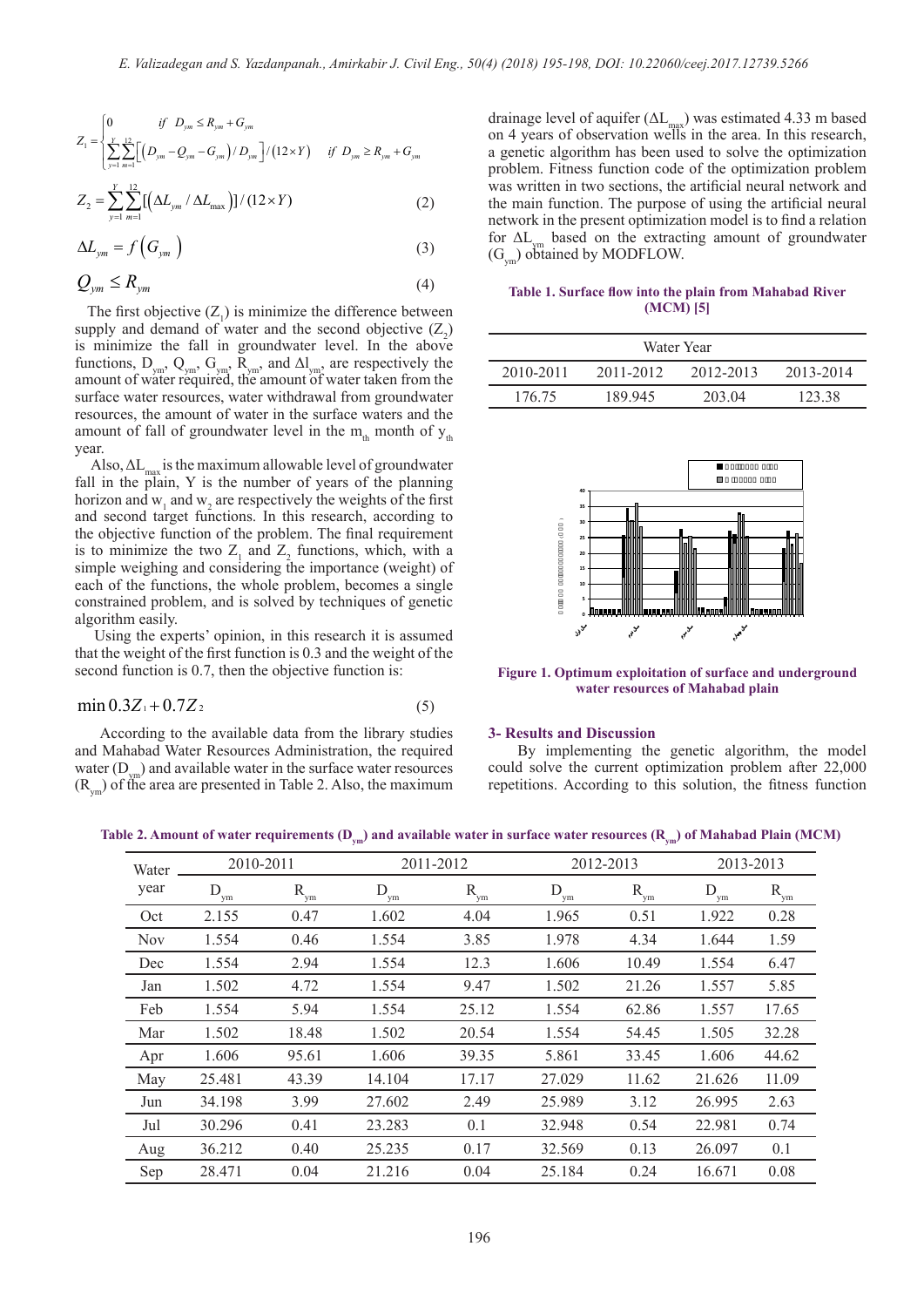$$
Z_{1} = \begin{cases} 0 & \text{if } D_{\text{ym}} \le R_{\text{ym}} + G_{\text{ym}} \\ \sum_{y=1}^{Y} \sum_{m=1}^{12} \Big[ \Big( D_{\text{ym}} - Q_{\text{ym}} - G_{\text{ym}} \Big) / D_{\text{ym}} \Big] / \Big( 12 \times Y \Big) & \text{if } D_{\text{ym}} \ge R_{\text{ym}} + G_{\text{ym}} \end{cases}
$$
  

$$
Z_{2} = \sum_{y=1}^{Y} \sum_{m=1}^{12} \Big[ \Big( \Delta L_{\text{ym}} / \Delta L_{\text{max}} \Big) \Big] / \Big( 12 \times Y \Big)
$$
 (2)

$$
\Delta L_{ym} = f\left(G_{ym}\right) \tag{3}
$$

$$
Q_{\mathit{ym}} \leq R_{\mathit{ym}} \tag{4}
$$

The first objective  $(Z_1)$  is minimize the difference between supply and demand of water and the second objective  $(Z_2)$ is minimize the fall in groundwater level. In the above functions,  $D_{ym}$ ,  $Q_{ym}$ ,  $G_{ym}$ ,  $\overline{R}_{ym}$ , and  $\Delta l_{ym}$ , are respectively the amount of water required, the amount of water taken from the surface water resources, water withdrawal from groundwater resources, the amount of water in the surface waters and the amount of fall of groundwater level in the  $m_{th}$  month of  $y_{th}$ year.

Also,  $\Delta L_{\text{max}}$  is the maximum allowable level of groundwater fall in the plain, Y is the number of years of the planning horizon and  $w_1$  and  $w_2$  are respectively the weights of the first and second target functions. In this research, according to the objective function of the problem. The final requirement is to minimize the two  $Z_1$  and  $Z_2$  functions, which, with a simple weighing and considering the importance (weight) of each of the functions, the whole problem, becomes a single constrained problem, and is solved by techniques of genetic algorithm easily.

 Using the experts' opinion, in this research it is assumed that the weight of the first function is 0.3 and the weight of the second function is 0.7, then the objective function is:

$$
\min 0.3Z_1 + 0.7Z_2 \tag{5}
$$

 According to the available data from the library studies and Mahabad Water Resources Administration, the required water  $(D_{\text{vm}})$  and available water in the surface water resources  $(R_{\text{vm}})$  of the area are presented in Table 2. Also, the maximum

drainage level of aquifer  $(\Delta L_{\text{max}})$  was estimated 4.33 m based on 4 years of observation wells in the area. In this research, a genetic algorithm has been used to solve the optimization problem. Fitness function code of the optimization problem was written in two sections, the artificial neural network and the main function. The purpose of using the artificial neural network in the present optimization model is to find a relation for  $\Delta L_{\text{max}}$  based on the extracting amount of groundwater  $(G<sub>vm</sub>)$  obtained by MODFLOW.

**Table 1. Surface flow into the plain from Mahabad River (MCM) [5]**

| Water Year |           |           |           |  |  |  |  |  |
|------------|-----------|-----------|-----------|--|--|--|--|--|
| 2010-2011  | 2011-2012 | 2012-2013 | 2013-2014 |  |  |  |  |  |
| 176.75     | 189 945   | 203.04    | 123.38    |  |  |  |  |  |



**Figure 1. Optimum exploitation of surface and underground water resources of Mahabad plain**

#### **3- Results and Discussion**

 By implementing the genetic algorithm, the model could solve the current optimization problem after 22,000 repetitions. According to this solution, the fitness function

Table 2. Amount of water requirements (D<sub>ym</sub>) and available water in surface water resources (R<sub>ym</sub>) of Mahabad Plain (MCM)

| Water<br>year | 2010-2011 |          |          | 2011-2012 |          | 2012-2013 |           | 2013-2013 |  |
|---------------|-----------|----------|----------|-----------|----------|-----------|-----------|-----------|--|
|               | D<br>' vm | $R_{ym}$ | $D_{ym}$ | $R_{ym}$  | $D_{ym}$ | $R_{ym}$  | D<br>' ym | $R_{ym}$  |  |
| Oct           | 2.155     | 0.47     | 1.602    | 4.04      | 1.965    | 0.51      | 1.922     | 0.28      |  |
| <b>Nov</b>    | 1.554     | 0.46     | 1.554    | 3.85      | 1.978    | 4.34      | 1.644     | 1.59      |  |
| Dec           | 1.554     | 2.94     | 1.554    | 12.3      | 1.606    | 10.49     | 1.554     | 6.47      |  |
| Jan           | 1.502     | 4.72     | 1.554    | 9.47      | 1.502    | 21.26     | 1.557     | 5.85      |  |
| Feb           | 1.554     | 5.94     | 1.554    | 25.12     | 1.554    | 62.86     | 1.557     | 17.65     |  |
| Mar           | 1.502     | 18.48    | 1.502    | 20.54     | 1.554    | 54.45     | 1.505     | 32.28     |  |
| Apr           | 1.606     | 95.61    | 1.606    | 39.35     | 5.861    | 33.45     | 1.606     | 44.62     |  |
| May           | 25.481    | 43.39    | 14.104   | 17.17     | 27.029   | 11.62     | 21.626    | 11.09     |  |
| Jun           | 34.198    | 3.99     | 27.602   | 2.49      | 25.989   | 3.12      | 26.995    | 2.63      |  |
| Jul           | 30.296    | 0.41     | 23.283   | 0.1       | 32.948   | 0.54      | 22.981    | 0.74      |  |
| Aug           | 36.212    | 0.40     | 25.235   | 0.17      | 32.569   | 0.13      | 26.097    | 0.1       |  |
| Sep           | 28.471    | 0.04     | 21.216   | 0.04      | 25.184   | 0.24      | 16.671    | 0.08      |  |